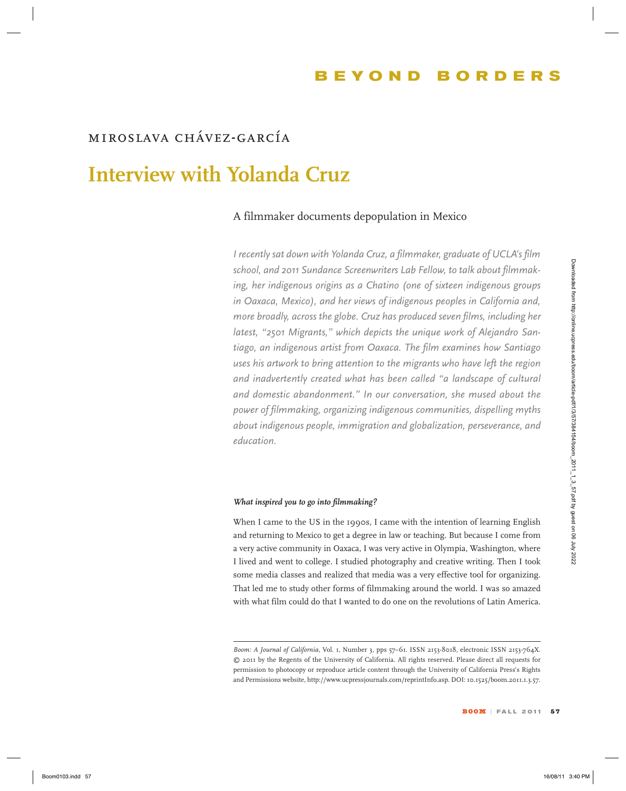# *miroslava chávez-garcía*

# **Interview with Yolanda Cruz**

# A filmmaker documents depopulation in Mexico

*I recently sat down with Yolanda Cruz, a filmmaker, graduate of UCLA's film school, and 2011 Sundance Screenwriters Lab Fellow, to talk about filmmaking, her indigenous origins as a Chatino (one of sixteen indigenous groups in Oaxaca, Mexico), and her views of indigenous peoples in California and, more broadly, across the globe. Cruz has produced seven films, including her latest, "2501 Migrants," which depicts the unique work of Alejandro Santiago, an indigenous artist from Oaxaca. The film examines how Santiago uses his artwork to bring attention to the migrants who have left the region and inadvertently created what has been called "a landscape of cultural and domestic abandonment." In our conversation, she mused about the power of filmmaking, organizing indigenous communities, dispelling myths about indigenous people, immigration and globalization, perseverance, and education.*  schenol, and soon Soundamus Screenworkers Lab Fellow, to toth chord (Florence) age (Figure in addigenous arguments on a Chaintary one of Satisfacetor Auditors (1998) and the relation of the propositional generality and th

#### *What inspired you to go into filmmaking?*

When I came to the US in the 1990s, I came with the intention of learning English and returning to Mexico to get a degree in law or teaching. But because I come from a very active community in Oaxaca, I was very active in Olympia, Washington, where I lived and went to college. I studied photography and creative writing. Then I took some media classes and realized that media was a very effective tool for organizing. That led me to study other forms of filmmaking around the world. I was so amazed with what film could do that I wanted to do one on the revolutions of Latin America.

Boom: A Journal of California, Vol. 1, Number 3, pps 57-61. ISSN 2153-8018, electronic ISSN 2153-764X. © 2011 by the Regents of the University of California. All rights reserved. Please direct all requests for permission to photocopy or reproduce article content through the University of California Press's Rights and Permissions website, http://www.ucpressjournals.com/reprintInfo.asp. DOI: 10.1525/boom.2011.1.3.57.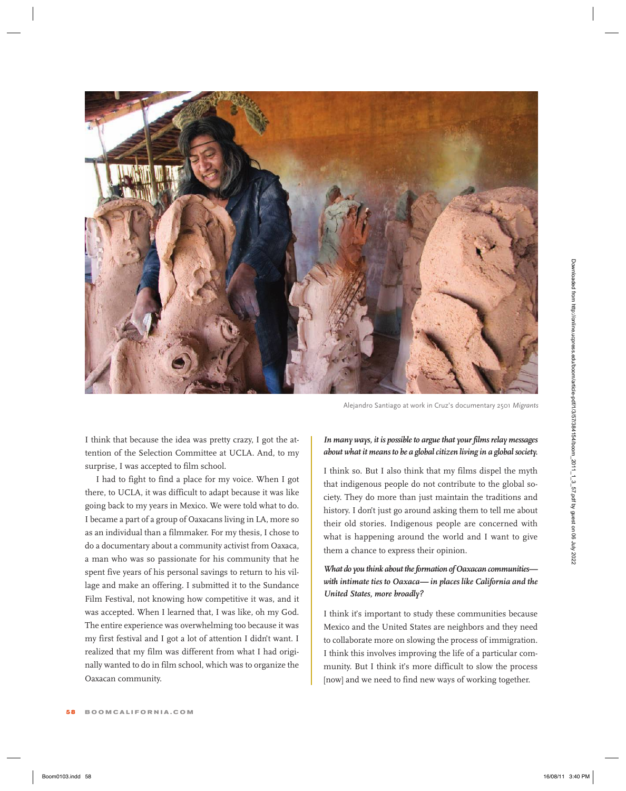

Alejandro Santiago at work in Cruz's documentary 2501 *Migrants*

I think that because the idea was pretty crazy, I got the attention of the Selection Committee at UCLA. And, to my surprise, I was accepted to film school.

I had to fight to find a place for my voice. When I got there, to UCLA, it was difficult to adapt because it was like going back to my years in Mexico. We were told what to do. I became a part of a group of Oaxacans living in LA, more so as an individual than a filmmaker. For my thesis, I chose to do a documentary about a community activist from Oaxaca, a man who was so passionate for his community that he spent five years of his personal savings to return to his village and make an offering. I submitted it to the Sundance Film Festival, not knowing how competitive it was, and it was accepted. When I learned that, I was like, oh my God. The entire experience was overwhelming too because it was my first festival and I got a lot of attention I didn't want. I realized that my film was different from what I had originally wanted to do in film school, which was to organize the Oaxacan community.

#### *In many ways, it is possible to argue that your films relay messages about what it means to be a global citizen living in a global society.*

I think so. But I also think that my films dispel the myth that indigenous people do not contribute to the global society. They do more than just maintain the traditions and history. I don't just go around asking them to tell me about their old stories. Indigenous people are concerned with what is happening around the world and I want to give them a chance to express their opinion.

# *What do you think about the formation of Oaxacan communities with intimate ties to Oaxaca— in places like California and the United States, more broadly?*

I think it's important to study these communities because Mexico and the United States are neighbors and they need to collaborate more on slowing the process of immigration. I think this involves improving the life of a particular community. But I think it's more difficult to slow the process [now] and we need to find new ways of working together.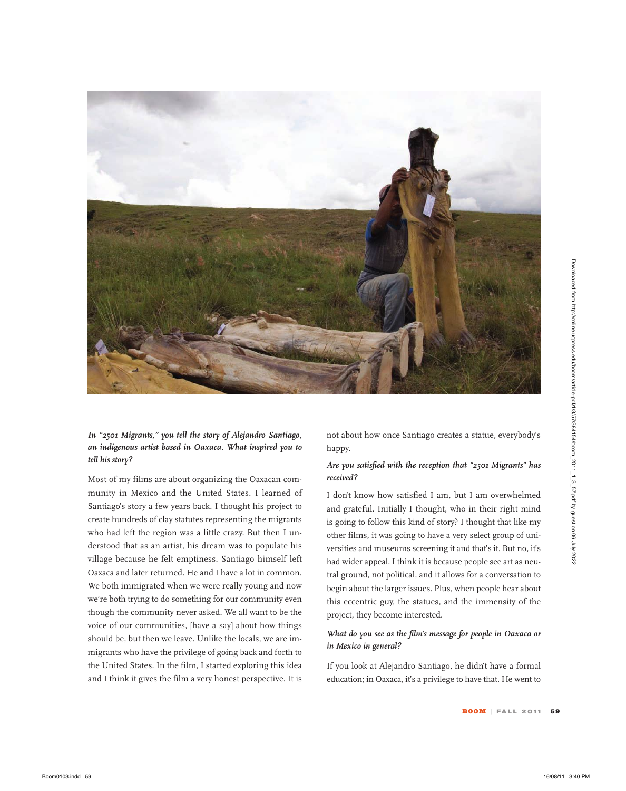

*In "2501 Migrants," you tell the story of Alejandro Santiago, an indigenous artist based in Oaxaca. What inspired you to tell his story?* 

Most of my films are about organizing the Oaxacan community in Mexico and the United States. I learned of Santiago's story a few years back. I thought his project to create hundreds of clay statutes representing the migrants who had left the region was a little crazy. But then I understood that as an artist, his dream was to populate his village because he felt emptiness. Santiago himself left Oaxaca and later returned. He and I have a lot in common. We both immigrated when we were really young and now we're both trying to do something for our community even though the community never asked. We all want to be the voice of our communities, [have a say] about how things should be, but then we leave. Unlike the locals, we are immigrants who have the privilege of going back and forth to the United States. In the film, I started exploring this idea and I think it gives the film a very honest perspective. It is

not about how once Santiago creates a statue, everybody's happy.

#### *Are you satisfied with the reception that "2501 Migrants" has received?*

I don't know how satisfied I am, but I am overwhelmed and grateful. Initially I thought, who in their right mind is going to follow this kind of story? I thought that like my other films, it was going to have a very select group of universities and museums screening it and that's it. But no, it's had wider appeal. I think it is because people see art as neutral ground, not political, and it allows for a conversation to begin about the larger issues. Plus, when people hear about this eccentric guy, the statues, and the immensity of the project, they become interested.

### *What do you see as the film's message for people in Oaxaca or in Mexico in general?*

If you look at Alejandro Santiago, he didn't have a formal education; in Oaxaca, it's a privilege to have that. He went to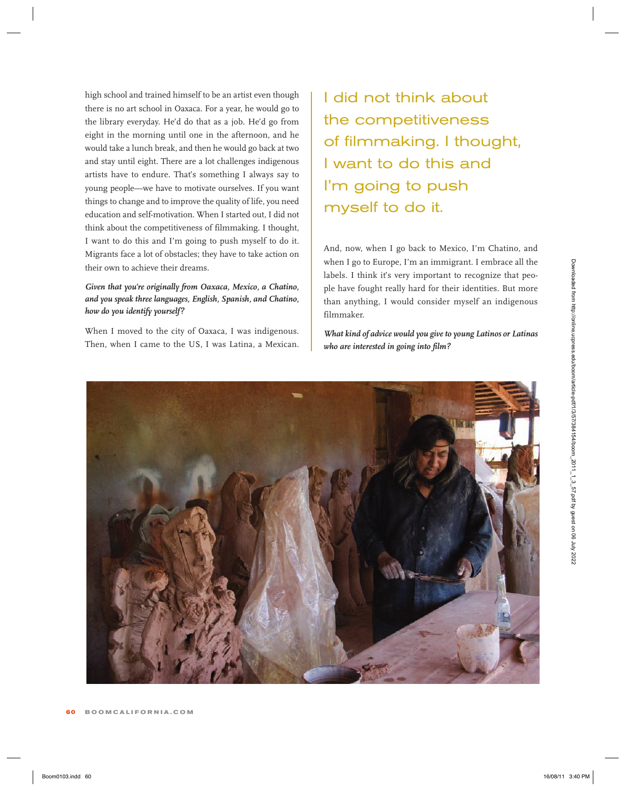high school and trained himself to be an artist even though there is no art school in Oaxaca. For a year, he would go to the library everyday. He'd do that as a job. He'd go from eight in the morning until one in the afternoon, and he would take a lunch break, and then he would go back at two and stay until eight. There are a lot challenges indigenous artists have to endure. That's something I always say to young people—we have to motivate ourselves. If you want things to change and to improve the quality of life, you need education and self-motivation. When I started out, I did not think about the competitiveness of filmmaking. I thought, I want to do this and I'm going to push myself to do it. Migrants face a lot of obstacles; they have to take action on their own to achieve their dreams.

# *Given that you're originally from Oaxaca, Mexico, a Chatino, and you speak three languages, English, Spanish, and Chatino, how do you identify yourself?*

When I moved to the city of Oaxaca, I was indigenous. Then, when I came to the US, I was Latina, a Mexican.

I did not think about the competitiveness of filmmaking. I thought, I want to do this and I'm going to push myself to do it.

And, now, when I go back to Mexico, I'm Chatino, and when I go to Europe, I'm an immigrant. I embrace all the labels. I think it's very important to recognize that people have fought really hard for their identities. But more than anything, I would consider myself an indigenous filmmaker.

*What kind of advice would you give to young Latinos or Latinas who are interested in going into film?*